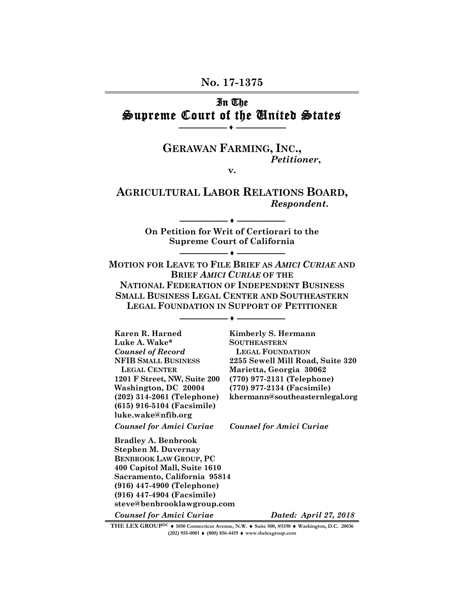#### **No. 17-1375**

### In The Supreme Court of the United States **-------------------------- ♦ ---------------------------**

# **GERAWAN FARMING, INC.,** *Petitioner***,**

**v.** 

### **AGRICULTURAL LABOR RELATIONS BOARD,**  *Respondent***.**

**On Petition for Writ of Certiorari to the Supreme Court of California -------------------------- ♦ --------------------------** 

**-------------------------- ♦ --------------------------** 

**MOTION FOR LEAVE TO FILE BRIEF AS** *AMICI CURIAE* **AND BRIEF** *AMICI CURIAE* **OF THE NATIONAL FEDERATION OF INDEPENDENT BUSINESS SMALL BUSINESS LEGAL CENTER AND SOUTHEASTERN LEGAL FOUNDATION IN SUPPORT OF PETITIONER**

**-------------------------- ♦ --------------------------**

**Karen R. Harned Kimberly S. Hermann**  Luke A. Wake\* SOUTHEASTERN *Counsel of Record* **LEGAL FOUNDATION** **LEGAL CENTER Marietta, Georgia 30062 Washington, DC 20004 (770) 977-2134 (Facsimile) (615) 916-5104 (Facsimile) luke.wake@nfib.org** 

*Counsel for Amici Curiae Counsel for Amici Curiae*

**NFIB SMALL BUSINESS 2255 Sewell Mill Road, Suite 320 1201 F Street, NW, Suite 200 (770) 977-2131 (Telephone) (202) 314-2061 (Telephone) khermann@southeasternlegal.org** 

**Bradley A. Benbrook Stephen M. Duvernay BENBROOK LAW GROUP, PC 400 Capitol Mall, Suite 1610 Sacramento, California 95814 (916) 447-4900 (Telephone) (916) 447-4904 (Facsimile) steve@benbrooklawgroup.com** 

*Counsel for Amici Curiae Dated: April 27, 2018*

THE LEX GROUP<sup>DC</sup>  $\bullet$  1050 Connecticut Avenue, N.W.  $\bullet$  Suite 500, #5190  $\bullet$  Washington, D.C. 20036 **(202) 955-0001 ♦ (800) 856-4419 ♦ www.thelexgroup.com**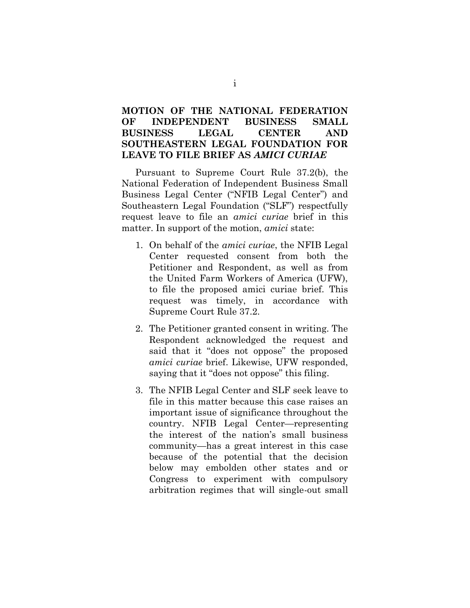### **MOTION OF THE NATIONAL FEDERATION OF INDEPENDENT BUSINESS SMALL BUSINESS LEGAL CENTER AND SOUTHEASTERN LEGAL FOUNDATION FOR LEAVE TO FILE BRIEF AS** *AMICI CURIAE*

Pursuant to Supreme Court Rule 37.2(b), the National Federation of Independent Business Small Business Legal Center ("NFIB Legal Center") and Southeastern Legal Foundation ("SLF") respectfully request leave to file an *amici curiae* brief in this matter. In support of the motion, *amici* state:

- 1. On behalf of the *amici curiae*, the NFIB Legal Center requested consent from both the Petitioner and Respondent, as well as from the United Farm Workers of America (UFW), to file the proposed amici curiae brief. This request was timely, in accordance with Supreme Court Rule 37.2.
- 2. The Petitioner granted consent in writing. The Respondent acknowledged the request and said that it "does not oppose" the proposed *amici curiae* brief. Likewise, UFW responded, saying that it "does not oppose" this filing.
- 3. The NFIB Legal Center and SLF seek leave to file in this matter because this case raises an important issue of significance throughout the country. NFIB Legal Center—representing the interest of the nation's small business community—has a great interest in this case because of the potential that the decision below may embolden other states and or Congress to experiment with compulsory arbitration regimes that will single-out small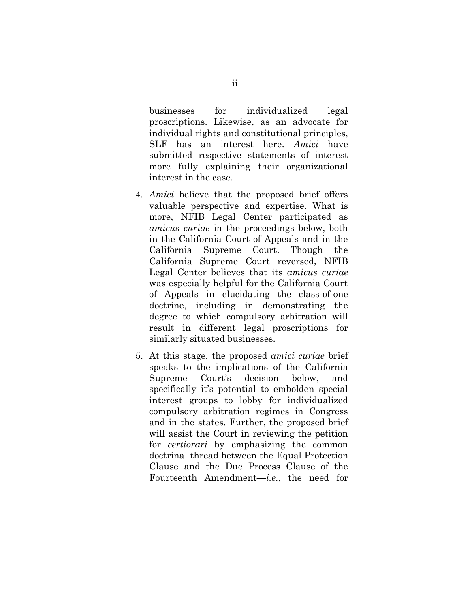businesses for individualized legal proscriptions. Likewise, as an advocate for individual rights and constitutional principles, SLF has an interest here. *Amici* have submitted respective statements of interest more fully explaining their organizational interest in the case.

- 4. *Amici* believe that the proposed brief offers valuable perspective and expertise. What is more, NFIB Legal Center participated as *amicus curiae* in the proceedings below, both in the California Court of Appeals and in the California Supreme Court. Though the California Supreme Court reversed, NFIB Legal Center believes that its *amicus curiae*  was especially helpful for the California Court of Appeals in elucidating the class-of-one doctrine, including in demonstrating the degree to which compulsory arbitration will result in different legal proscriptions for similarly situated businesses.
- 5. At this stage, the proposed *amici curiae* brief speaks to the implications of the California Supreme Court's decision below, and specifically it's potential to embolden special interest groups to lobby for individualized compulsory arbitration regimes in Congress and in the states. Further, the proposed brief will assist the Court in reviewing the petition for *certiorari* by emphasizing the common doctrinal thread between the Equal Protection Clause and the Due Process Clause of the Fourteenth Amendment—*i.e.*, the need for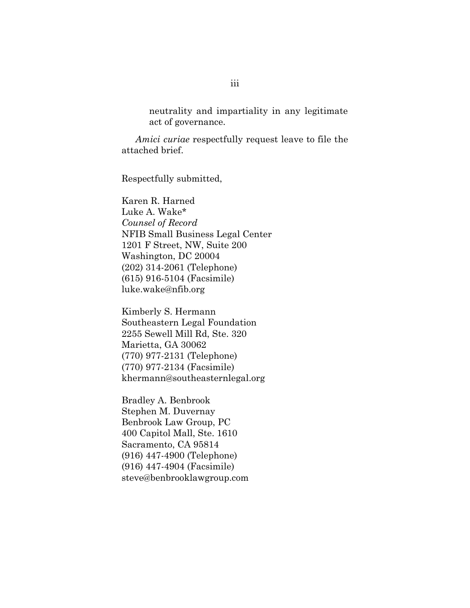neutrality and impartiality in any legitimate act of governance.

*Amici curiae* respectfully request leave to file the attached brief.

Respectfully submitted,

Karen R. Harned Luke A. Wake\* *Counsel of Record* NFIB Small Business Legal Center 1201 F Street, NW, Suite 200 Washington, DC 20004 (202) 314-2061 (Telephone) (615) 916-5104 (Facsimile) luke.wake@nfib.org

Kimberly S. Hermann Southeastern Legal Foundation 2255 Sewell Mill Rd, Ste. 320 Marietta, GA 30062 (770) 977-2131 (Telephone) (770) 977-2134 (Facsimile) khermann@southeasternlegal.org

Bradley A. Benbrook Stephen M. Duvernay Benbrook Law Group, PC 400 Capitol Mall, Ste. 1610 Sacramento, CA 95814 (916) 447-4900 (Telephone) (916) 447-4904 (Facsimile) steve@benbrooklawgroup.com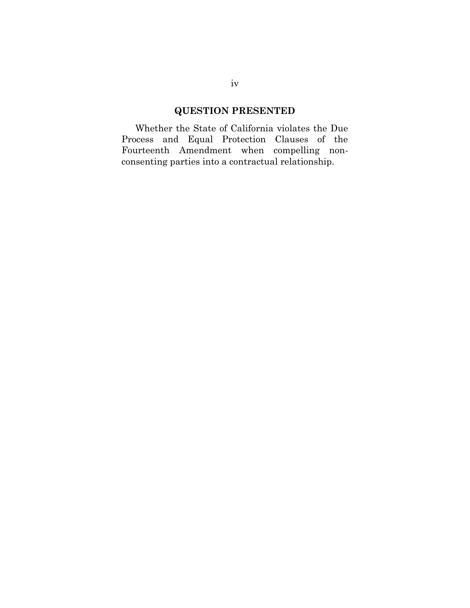# **QUESTION PRESENTED**

Whether the State of California violates the Due Process and Equal Protection Clauses of the Fourteenth Amendment when compelling nonconsenting parties into a contractual relationship.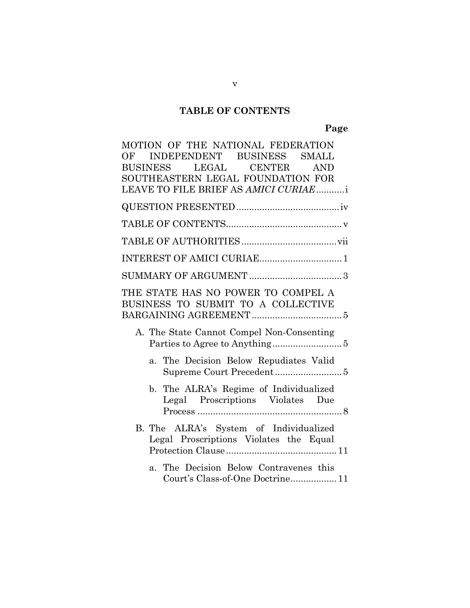# **TABLE OF CONTENTS**

# **Page**

| MOTION OF THE NATIONAL FEDERATION                                                |
|----------------------------------------------------------------------------------|
| INDEPENDENT BUSINESS<br>OF<br><b>SMALL</b>                                       |
| BUSINESS LEGAL CENTER AND                                                        |
| SOUTHEASTERN LEGAL FOUNDATION FOR                                                |
| LEAVE TO FILE BRIEF AS AMICI CURIAEi                                             |
|                                                                                  |
|                                                                                  |
|                                                                                  |
|                                                                                  |
|                                                                                  |
| THE STATE HAS NO POWER TO COMPEL A<br>BUSINESS TO SUBMIT TO A COLLECTIVE         |
| A. The State Cannot Compel Non-Consenting                                        |
| a. The Decision Below Repudiates Valid                                           |
| b. The ALRA's Regime of Individualized<br>Legal Proscriptions Violates Due       |
| B. The ALRA's System of Individualized<br>Legal Proscriptions Violates the Equal |
| a. The Decision Below Contravenes this<br>Court's Class-of-One Doctrine 11       |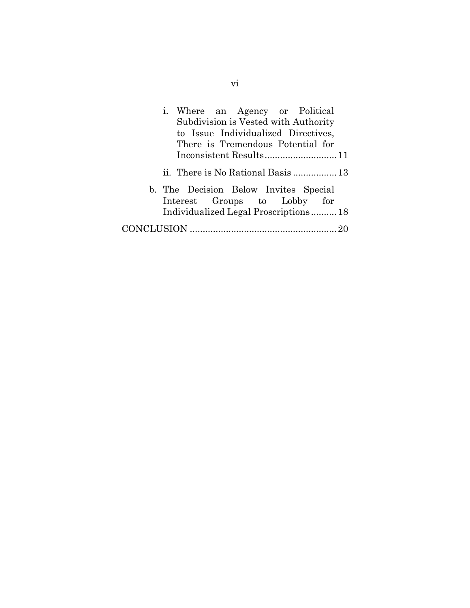| i. Where an Agency or Political<br>Subdivision is Vested with Authority<br>to Issue Individualized Directives,<br>There is Tremendous Potential for |
|-----------------------------------------------------------------------------------------------------------------------------------------------------|
|                                                                                                                                                     |
|                                                                                                                                                     |
| b. The Decision Below Invites Special                                                                                                               |
| Interest Groups to Lobby for                                                                                                                        |
| Individualized Legal Proscriptions18                                                                                                                |
|                                                                                                                                                     |

vi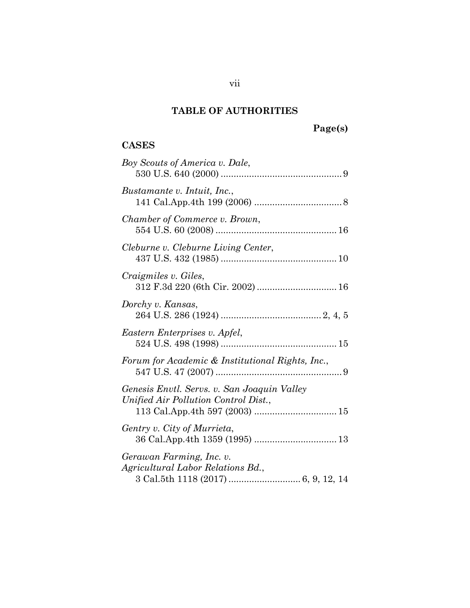# **TABLE OF AUTHORITIES**

# **Page(s)**

# **CASES**

| Boy Scouts of America v. Dale,                                                      |
|-------------------------------------------------------------------------------------|
| Bustamante v. Intuit, Inc.,                                                         |
| Chamber of Commerce v. Brown,                                                       |
| Cleburne v. Cleburne Living Center,                                                 |
| Craigmiles v. Giles,                                                                |
| Dorchy v. Kansas,                                                                   |
| Eastern Enterprises v. Apfel,                                                       |
| Forum for Academic & Institutional Rights, Inc.,                                    |
| Genesis Envtl. Servs. v. San Joaquin Valley<br>Unified Air Pollution Control Dist., |
| Gentry v. City of Murrieta,<br>36 Cal.App.4th 1359 (1995)  13                       |
| Gerawan Farming, Inc. v.<br>Agricultural Labor Relations Bd.,                       |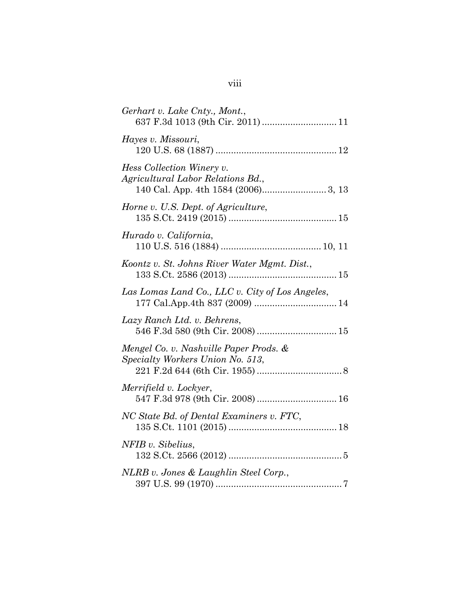| Gerhart v. Lake Cnty., Mont.,<br>637 F.3d 1013 (9th Cir. 2011)  11         |
|----------------------------------------------------------------------------|
| Hayes v. Missouri,                                                         |
| Hess Collection Winery v.<br>Agricultural Labor Relations Bd.,             |
| Horne v. U.S. Dept. of Agriculture,                                        |
| Hurado v. California,                                                      |
| Koontz v. St. Johns River Water Mgmt. Dist.,                               |
| Las Lomas Land Co., LLC v. City of Los Angeles,                            |
| Lazy Ranch Ltd. v. Behrens,<br>546 F.3d 580 (9th Cir. 2008)  15            |
| Mengel Co. v. Nashville Paper Prods. &<br>Specialty Workers Union No. 513, |
| Merrifield v. Lockyer,<br>547 F.3d 978 (9th Cir. 2008)  16                 |
| NC State Bd. of Dental Examiners v. FTC,                                   |
| NFIB v. Sibelius,                                                          |
| NLRB v. Jones & Laughlin Steel Corp.,                                      |

| ×<br>I | ×<br>۰. |  |
|--------|---------|--|
|        |         |  |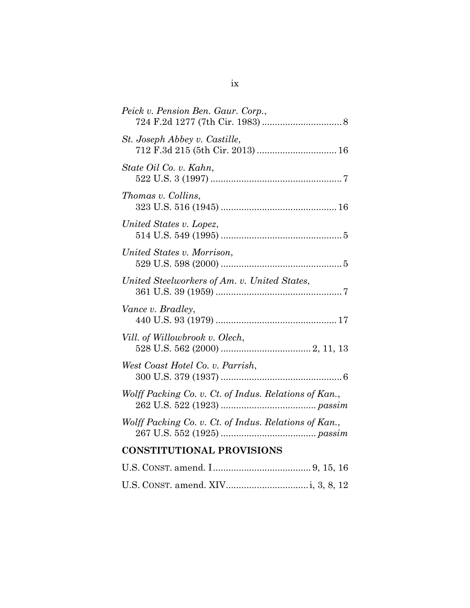| Peick v. Pension Ben. Gaur. Corp.,                                |
|-------------------------------------------------------------------|
| St. Joseph Abbey v. Castille,<br>712 F.3d 215 (5th Cir. 2013)  16 |
| State Oil Co. v. Kahn,                                            |
| Thomas v. Collins,                                                |
| United States v. Lopez,                                           |
| United States v. Morrison,                                        |
| United Steelworkers of Am. v. United States,                      |
| Vance v. Bradley,                                                 |
| Vill. of Willowbrook v. Olech,                                    |
| West Coast Hotel Co. v. Parrish,                                  |
| Wolff Packing Co. v. Ct. of Indus. Relations of Kan.,             |
| Wolff Packing Co. v. Ct. of Indus. Relations of Kan.,             |
| <b>CONSTITUTIONAL PROVISIONS</b>                                  |
|                                                                   |
|                                                                   |

ix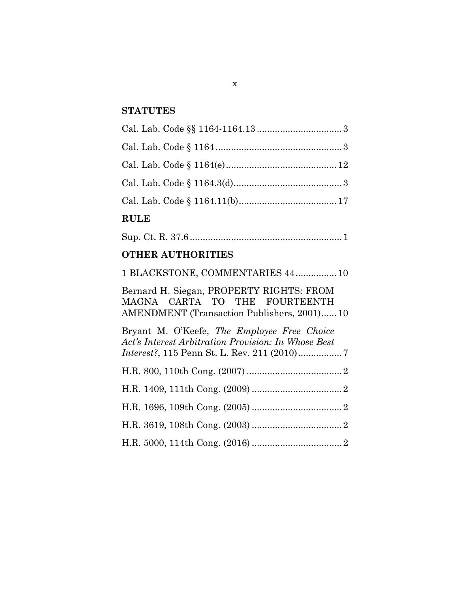# **STATUTES**

# **RULE**

|--|--|--|--|

# **OTHER AUTHORITIES**

| 1 BLACKSTONE, COMMENTARIES 44 10                                                                                                |
|---------------------------------------------------------------------------------------------------------------------------------|
| Bernard H. Siegan, PROPERTY RIGHTS: FROM<br>MAGNA CARTA TO THE FOURTEENTH<br><b>AMENDMENT</b> (Transaction Publishers, 2001) 10 |
| Bryant M. O'Keefe, The Employee Free Choice<br>Act's Interest Arbitration Provision: In Whose Best                              |
|                                                                                                                                 |
|                                                                                                                                 |
|                                                                                                                                 |
|                                                                                                                                 |
|                                                                                                                                 |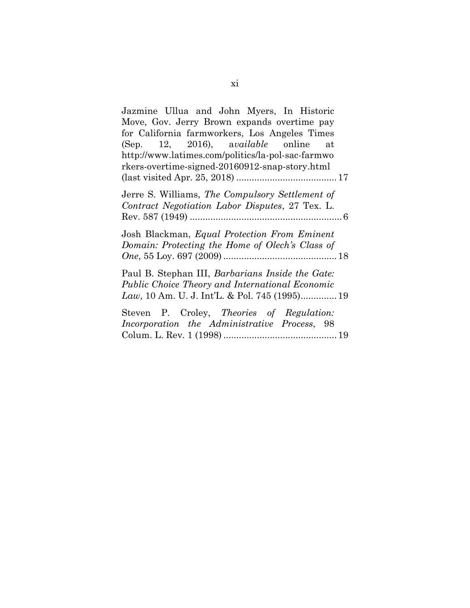| Jazmine Ullua and John Myers, In Historic<br>Move, Gov. Jerry Brown expands overtime pay<br>for California farmworkers, Los Angeles Times<br>(Sep. 12, 2016), $available$ online at<br>http://www.latimes.com/politics/la-pol-sac-farmwo<br>rkers-overtime-signed-20160912-snap-story.html |
|--------------------------------------------------------------------------------------------------------------------------------------------------------------------------------------------------------------------------------------------------------------------------------------------|
| Jerre S. Williams, The Compulsory Settlement of<br>Contract Negotiation Labor Disputes, 27 Tex. L.                                                                                                                                                                                         |
| Josh Blackman, <i>Equal Protection From Eminent</i><br>Domain: Protecting the Home of Olech's Class of                                                                                                                                                                                     |
| Paul B. Stephan III, <i>Barbarians Inside the Gate</i> :<br>Public Choice Theory and International Economic<br>Law, 10 Am. U. J. Int'L. & Pol. 745 (1995) 19                                                                                                                               |
| Steven P. Croley, Theories of Regulation:<br>Incorporation the Administrative Process, 98                                                                                                                                                                                                  |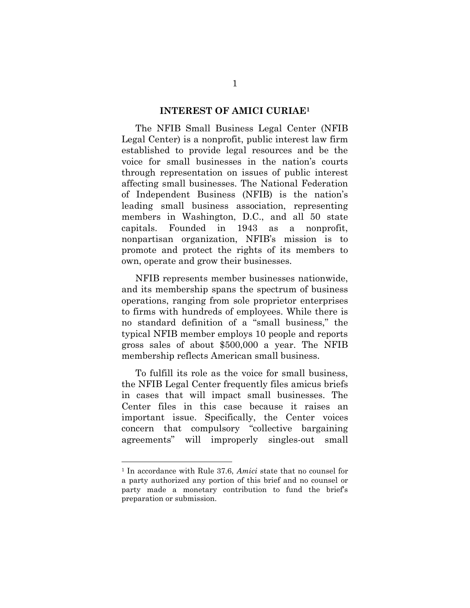#### **INTEREST OF AMICI CURIAE1**

The NFIB Small Business Legal Center (NFIB Legal Center) is a nonprofit, public interest law firm established to provide legal resources and be the voice for small businesses in the nation's courts through representation on issues of public interest affecting small businesses. The National Federation of Independent Business (NFIB) is the nation's leading small business association, representing members in Washington, D.C., and all 50 state capitals. Founded in 1943 as a nonprofit, nonpartisan organization, NFIB's mission is to promote and protect the rights of its members to own, operate and grow their businesses.

NFIB represents member businesses nationwide, and its membership spans the spectrum of business operations, ranging from sole proprietor enterprises to firms with hundreds of employees. While there is no standard definition of a "small business," the typical NFIB member employs 10 people and reports gross sales of about \$500,000 a year. The NFIB membership reflects American small business.

To fulfill its role as the voice for small business, the NFIB Legal Center frequently files amicus briefs in cases that will impact small businesses. The Center files in this case because it raises an important issue. Specifically, the Center voices concern that compulsory "collective bargaining agreements" will improperly singles-out small

 $\overline{a}$ 

<sup>1</sup> In accordance with Rule 37.6, *Amici* state that no counsel for a party authorized any portion of this brief and no counsel or party made a monetary contribution to fund the brief's preparation or submission.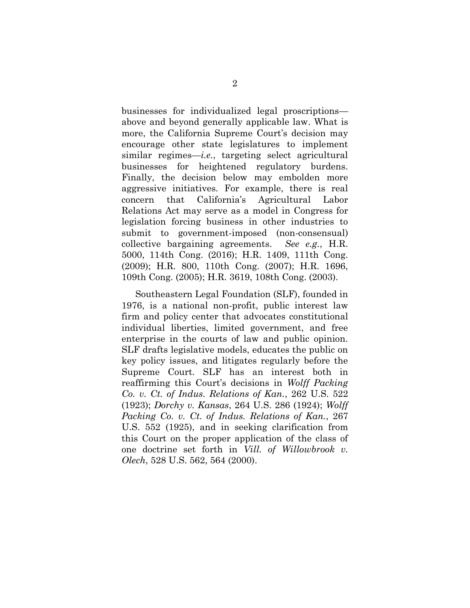businesses for individualized legal proscriptions above and beyond generally applicable law. What is more, the California Supreme Court's decision may encourage other state legislatures to implement similar regimes—*i.e.*, targeting select agricultural businesses for heightened regulatory burdens. Finally, the decision below may embolden more aggressive initiatives. For example, there is real concern that California's Agricultural Labor Relations Act may serve as a model in Congress for legislation forcing business in other industries to submit to government-imposed (non-consensual) collective bargaining agreements. *See e.g.*, H.R. 5000, 114th Cong. (2016); H.R. 1409, 111th Cong. (2009); H.R. 800, 110th Cong. (2007); H.R. 1696, 109th Cong. (2005); H.R. 3619, 108th Cong. (2003).

Southeastern Legal Foundation (SLF), founded in 1976, is a national non-profit, public interest law firm and policy center that advocates constitutional individual liberties, limited government, and free enterprise in the courts of law and public opinion. SLF drafts legislative models, educates the public on key policy issues, and litigates regularly before the Supreme Court. SLF has an interest both in reaffirming this Court's decisions in *Wolff Packing Co. v. Ct. of Indus. Relations of Kan.*, 262 U.S. 522 (1923); *Dorchy v. Kansas*, 264 U.S. 286 (1924); *Wolff Packing Co. v. Ct. of Indus. Relations of Kan.*, 267 U.S. 552 (1925), and in seeking clarification from this Court on the proper application of the class of one doctrine set forth in *Vill. of Willowbrook v. Olech*, 528 U.S. 562, 564 (2000).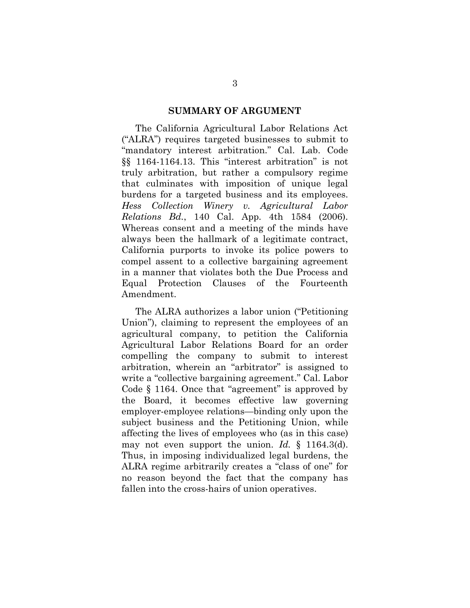#### **SUMMARY OF ARGUMENT**

The California Agricultural Labor Relations Act ("ALRA") requires targeted businesses to submit to "mandatory interest arbitration." Cal. Lab. Code §§ 1164-1164.13. This "interest arbitration" is not truly arbitration, but rather a compulsory regime that culminates with imposition of unique legal burdens for a targeted business and its employees. *Hess Collection Winery v. Agricultural Labor Relations Bd.*, 140 Cal. App. 4th 1584 (2006). Whereas consent and a meeting of the minds have always been the hallmark of a legitimate contract, California purports to invoke its police powers to compel assent to a collective bargaining agreement in a manner that violates both the Due Process and Equal Protection Clauses of the Fourteenth Amendment.

The ALRA authorizes a labor union ("Petitioning Union"), claiming to represent the employees of an agricultural company, to petition the California Agricultural Labor Relations Board for an order compelling the company to submit to interest arbitration, wherein an "arbitrator" is assigned to write a "collective bargaining agreement." Cal. Labor Code § 1164. Once that "agreement" is approved by the Board, it becomes effective law governing employer-employee relations—binding only upon the subject business and the Petitioning Union, while affecting the lives of employees who (as in this case) may not even support the union. *Id.* § 1164.3(d). Thus, in imposing individualized legal burdens, the ALRA regime arbitrarily creates a "class of one" for no reason beyond the fact that the company has fallen into the cross-hairs of union operatives.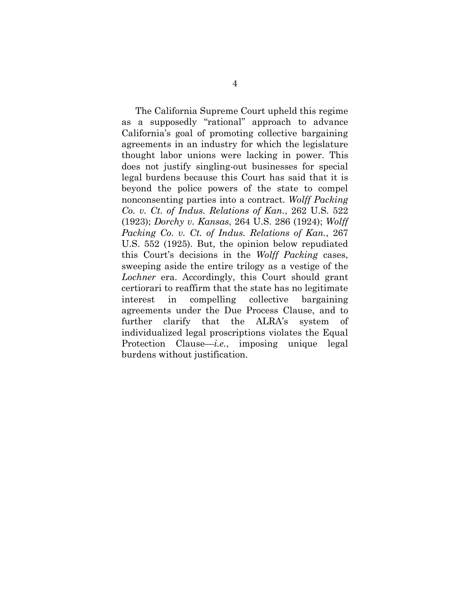The California Supreme Court upheld this regime as a supposedly "rational" approach to advance California's goal of promoting collective bargaining agreements in an industry for which the legislature thought labor unions were lacking in power. This does not justify singling-out businesses for special legal burdens because this Court has said that it is beyond the police powers of the state to compel nonconsenting parties into a contract. *Wolff Packing Co. v. Ct. of Indus. Relations of Kan.*, 262 U.S. 522 (1923); *Dorchy v. Kansas*, 264 U.S. 286 (1924); *Wolff Packing Co. v. Ct. of Indus. Relations of Kan.*, 267 U.S. 552 (1925). But, the opinion below repudiated this Court's decisions in the *Wolff Packing* cases, sweeping aside the entire trilogy as a vestige of the *Lochner* era. Accordingly, this Court should grant certiorari to reaffirm that the state has no legitimate interest in compelling collective bargaining agreements under the Due Process Clause, and to further clarify that the ALRA's system of individualized legal proscriptions violates the Equal Protection Clause—*i.e.*, imposing unique legal burdens without justification.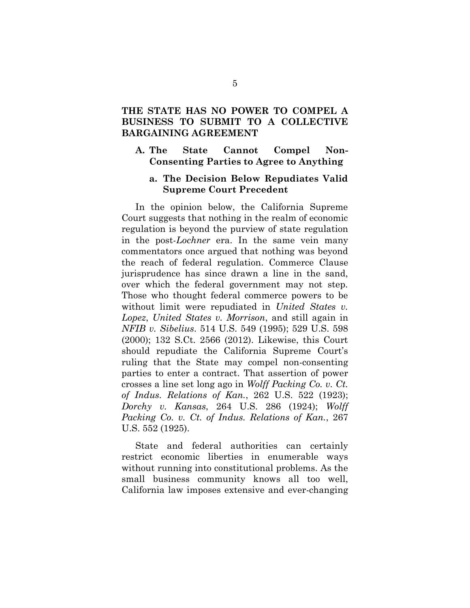### **THE STATE HAS NO POWER TO COMPEL A BUSINESS TO SUBMIT TO A COLLECTIVE BARGAINING AGREEMENT**

#### **A. The State Cannot Compel Non-Consenting Parties to Agree to Anything**

#### **a. The Decision Below Repudiates Valid Supreme Court Precedent**

In the opinion below, the California Supreme Court suggests that nothing in the realm of economic regulation is beyond the purview of state regulation in the post-*Lochner* era. In the same vein many commentators once argued that nothing was beyond the reach of federal regulation. Commerce Clause jurisprudence has since drawn a line in the sand, over which the federal government may not step. Those who thought federal commerce powers to be without limit were repudiated in *United States v. Lopez*, *United States v. Morrison*, and still again in *NFIB v. Sibelius*. 514 U.S. 549 (1995); 529 U.S. 598 (2000); 132 S.Ct. 2566 (2012). Likewise, this Court should repudiate the California Supreme Court's ruling that the State may compel non-consenting parties to enter a contract. That assertion of power crosses a line set long ago in *Wolff Packing Co. v. Ct. of Indus. Relations of Kan.*, 262 U.S. 522 (1923); *Dorchy v. Kansas*, 264 U.S. 286 (1924); *Wolff Packing Co. v. Ct. of Indus. Relations of Kan.*, 267 U.S. 552 (1925).

State and federal authorities can certainly restrict economic liberties in enumerable ways without running into constitutional problems. As the small business community knows all too well, California law imposes extensive and ever-changing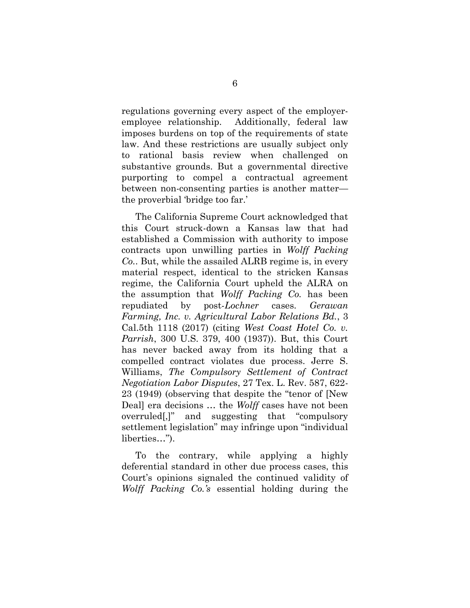regulations governing every aspect of the employeremployee relationship. Additionally, federal law imposes burdens on top of the requirements of state law. And these restrictions are usually subject only to rational basis review when challenged on substantive grounds. But a governmental directive purporting to compel a contractual agreement between non-consenting parties is another matter the proverbial 'bridge too far.'

The California Supreme Court acknowledged that this Court struck-down a Kansas law that had established a Commission with authority to impose contracts upon unwilling parties in *Wolff Packing Co.*. But, while the assailed ALRB regime is, in every material respect, identical to the stricken Kansas regime, the California Court upheld the ALRA on the assumption that *Wolff Packing Co.* has been repudiated by post-*Lochner* cases. *Gerawan Farming, Inc. v. Agricultural Labor Relations Bd.*, 3 Cal.5th 1118 (2017) (citing *West Coast Hotel Co. v. Parrish*, 300 U.S. 379, 400 (1937)). But, this Court has never backed away from its holding that a compelled contract violates due process. Jerre S. Williams, *The Compulsory Settlement of Contract Negotiation Labor Disputes*, 27 Tex. L. Rev. 587, 622- 23 (1949) (observing that despite the "tenor of [New Deal] era decisions … the *Wolff* cases have not been overruled[,]" and suggesting that "compulsory settlement legislation" may infringe upon "individual liberties…").

To the contrary, while applying a highly deferential standard in other due process cases, this Court's opinions signaled the continued validity of *Wolff Packing Co.'s* essential holding during the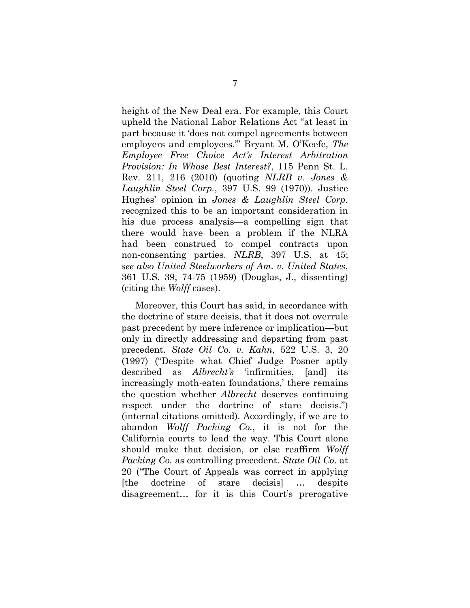height of the New Deal era. For example, this Court upheld the National Labor Relations Act "at least in part because it 'does not compel agreements between employers and employees.'" Bryant M. O'Keefe, *The Employee Free Choice Act's Interest Arbitration Provision: In Whose Best Interest?*, 115 Penn St. L. Rev. 211, 216 (2010) (quoting *NLRB v. Jones & Laughlin Steel Corp.*, 397 U.S. 99 (1970)). Justice Hughes' opinion in *Jones & Laughlin Steel Corp.*  recognized this to be an important consideration in his due process analysis—a compelling sign that there would have been a problem if the NLRA had been construed to compel contracts upon non-consenting parties. *NLRB*, 397 U.S. at 45; *see also United Steelworkers of Am. v. United States*, 361 U.S. 39, 74-75 (1959) (Douglas, J., dissenting) (citing the *Wolff* cases).

Moreover, this Court has said, in accordance with the doctrine of stare decisis, that it does not overrule past precedent by mere inference or implication—but only in directly addressing and departing from past precedent. *State Oil Co. v. Kahn*, 522 U.S. 3, 20 (1997) ("Despite what Chief Judge Posner aptly described as *Albrecht's* 'infirmities, [and] its increasingly moth-eaten foundations,' there remains the question whether *Albrecht* deserves continuing respect under the doctrine of stare decisis.") (internal citations omitted). Accordingly, if we are to abandon *Wolff Packing Co.*, it is not for the California courts to lead the way. This Court alone should make that decision, or else reaffirm *Wolff Packing Co.* as controlling precedent. *State Oil Co*. at 20 ("The Court of Appeals was correct in applying [the doctrine of stare decisis] … despite disagreement… for it is this Court's prerogative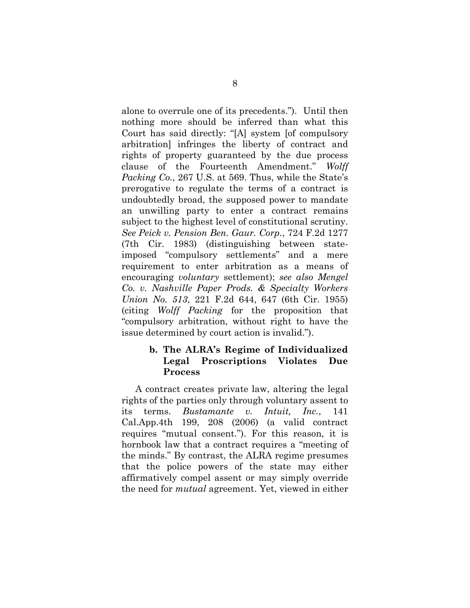alone to overrule one of its precedents."). Until then nothing more should be inferred than what this Court has said directly: "[A] system [of compulsory arbitration] infringes the liberty of contract and rights of property guaranteed by the due process clause of the Fourteenth Amendment." *Wolff Packing Co.*, 267 U.S. at 569. Thus, while the State's prerogative to regulate the terms of a contract is undoubtedly broad, the supposed power to mandate an unwilling party to enter a contract remains subject to the highest level of constitutional scrutiny. *See Peick v. Pension Ben. Gaur. Corp.*, 724 F.2d 1277 (7th Cir. 1983) (distinguishing between stateimposed "compulsory settlements" and a mere requirement to enter arbitration as a means of encouraging *voluntary* settlement); *see also Mengel Co. v. Nashville Paper Prods. & Specialty Workers Union No. 513*, 221 F.2d 644, 647 (6th Cir. 1955) (citing *Wolff Packing* for the proposition that "compulsory arbitration, without right to have the issue determined by court action is invalid.").

#### **b. The ALRA's Regime of Individualized Legal Proscriptions Violates Due Process**

A contract creates private law, altering the legal rights of the parties only through voluntary assent to its terms. *Bustamante v. Intuit, Inc.*, 141 Cal.App.4th 199, 208 (2006) (a valid contract requires "mutual consent."). For this reason, it is hornbook law that a contract requires a "meeting of the minds." By contrast, the ALRA regime presumes that the police powers of the state may either affirmatively compel assent or may simply override the need for *mutual* agreement. Yet, viewed in either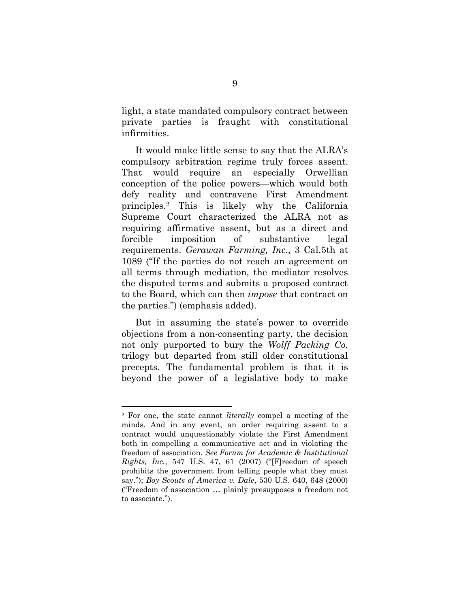light, a state mandated compulsory contract between private parties is fraught with constitutional infirmities.

It would make little sense to say that the ALRA's compulsory arbitration regime truly forces assent. That would require an especially Orwellian conception of the police powers—which would both defy reality and contravene First Amendment principles.2 This is likely why the California Supreme Court characterized the ALRA not as requiring affirmative assent, but as a direct and forcible imposition of substantive legal requirements. *Gerawan Farming, Inc.*, 3 Cal.5th at 1089 ("If the parties do not reach an agreement on all terms through mediation, the mediator resolves the disputed terms and submits a proposed contract to the Board, which can then *impose* that contract on the parties.") (emphasis added).

But in assuming the state's power to override objections from a non-consenting party, the decision not only purported to bury the *Wolff Packing Co.*  trilogy but departed from still older constitutional precepts. The fundamental problem is that it is beyond the power of a legislative body to make

 $\ddot{\phantom{a}}$ 

<sup>2</sup> For one, the state cannot *literally* compel a meeting of the minds. And in any event, an order requiring assent to a contract would unquestionably violate the First Amendment both in compelling a communicative act and in violating the freedom of association. *See Forum for Academic & Institutional Rights, Inc.*, 547 U.S. 47, 61 (2007) ("[F]reedom of speech prohibits the government from telling people what they must say."); *Boy Scouts of America v. Dale*, 530 U.S. 640, 648 (2000) ("Freedom of association … plainly presupposes a freedom not to associate.").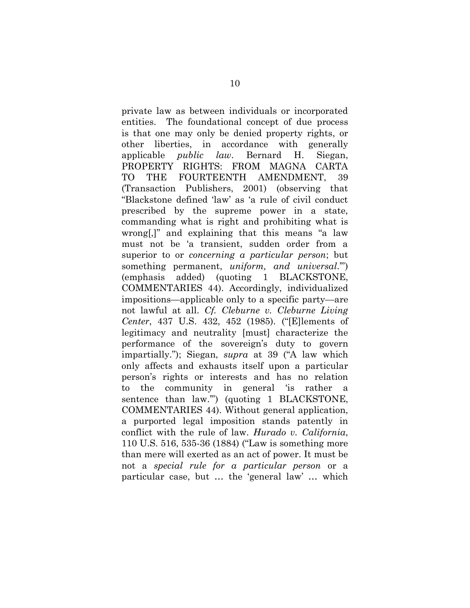private law as between individuals or incorporated entities. The foundational concept of due process is that one may only be denied property rights, or other liberties, in accordance with generally applicable *public law*. Bernard H. Siegan, PROPERTY RIGHTS: FROM MAGNA CARTA TO THE FOURTEENTH AMENDMENT, 39 (Transaction Publishers, 2001) (observing that "Blackstone defined 'law' as 'a rule of civil conduct prescribed by the supreme power in a state, commanding what is right and prohibiting what is wrong[,]" and explaining that this means "a law must not be 'a transient, sudden order from a superior to or *concerning a particular person*; but something permanent, *uniform, and universal*.'") (emphasis added) (quoting 1 BLACKSTONE, COMMENTARIES 44). Accordingly, individualized impositions—applicable only to a specific party—are not lawful at all. *Cf. Cleburne v. Cleburne Living Center*, 437 U.S. 432, 452 (1985). ("[E]lements of legitimacy and neutrality [must] characterize the performance of the sovereign's duty to govern impartially."); Siegan, *supra* at 39 ("A law which only affects and exhausts itself upon a particular person's rights or interests and has no relation to the community in general 'is rather a sentence than law.'") (quoting 1 BLACKSTONE, COMMENTARIES 44). Without general application, a purported legal imposition stands patently in conflict with the rule of law. *Hurado v. California*, 110 U.S. 516, 535-36 (1884) ("Law is something more than mere will exerted as an act of power. It must be not a *special rule for a particular person* or a particular case, but … the 'general law' … which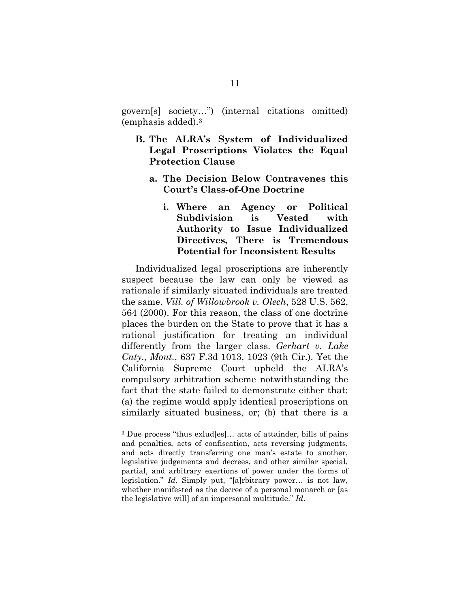govern[s] society…") (internal citations omitted) (emphasis added).3

- **B. The ALRA's System of Individualized Legal Proscriptions Violates the Equal Protection Clause** 
	- **a. The Decision Below Contravenes this Court's Class-of-One Doctrine** 
		- **i. Where an Agency or Political Subdivision is Vested with Authority to Issue Individualized Directives, There is Tremendous Potential for Inconsistent Results**

Individualized legal proscriptions are inherently suspect because the law can only be viewed as rationale if similarly situated individuals are treated the same. *Vill. of Willowbrook v. Olech*, 528 U.S. 562, 564 (2000). For this reason, the class of one doctrine places the burden on the State to prove that it has a rational justification for treating an individual differently from the larger class. *Gerhart v. Lake Cnty., Mont.*, 637 F.3d 1013, 1023 (9th Cir.). Yet the California Supreme Court upheld the ALRA's compulsory arbitration scheme notwithstanding the fact that the state failed to demonstrate either that: (a) the regime would apply identical proscriptions on similarly situated business, or; (b) that there is a

 $\ddot{\phantom{a}}$ 

<sup>3</sup> Due process "thus exlud[es]… acts of attainder, bills of pains and penalties, acts of confiscation, acts reversing judgments, and acts directly transferring one man's estate to another, legislative judgements and decrees, and other similar special, partial, and arbitrary exertions of power under the forms of legislation." *Id*. Simply put, "[a]rbitrary power… is not law, whether manifested as the decree of a personal monarch or [as the legislative will] of an impersonal multitude." *Id*.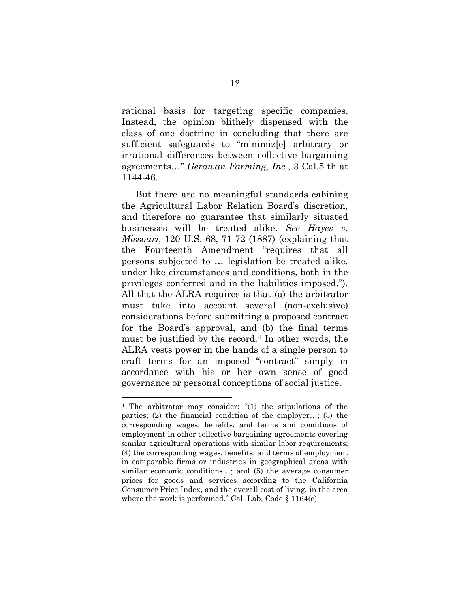rational basis for targeting specific companies. Instead, the opinion blithely dispensed with the class of one doctrine in concluding that there are sufficient safeguards to "minimiz[e] arbitrary or irrational differences between collective bargaining agreements…" *Gerawan Farming, Inc.*, 3 Cal.5 th at 1144-46.

But there are no meaningful standards cabining the Agricultural Labor Relation Board's discretion, and therefore no guarantee that similarly situated businesses will be treated alike. *See Hayes v. Missouri*, 120 U.S. 68, 71-72 (1887) (explaining that the Fourteenth Amendment "requires that all persons subjected to … legislation be treated alike, under like circumstances and conditions, both in the privileges conferred and in the liabilities imposed."). All that the ALRA requires is that (a) the arbitrator must take into account several (non-exclusive) considerations before submitting a proposed contract for the Board's approval, and (b) the final terms must be justified by the record.4 In other words, the ALRA vests power in the hands of a single person to craft terms for an imposed "contract" simply in accordance with his or her own sense of good governance or personal conceptions of social justice.

 $\ddot{\phantom{a}}$ 

<sup>4</sup> The arbitrator may consider: "(1) the stipulations of the parties; (2) the financial condition of the employer…; (3) the corresponding wages, benefits, and terms and conditions of employment in other collective bargaining agreements covering similar agricultural operations with similar labor requirements; (4) the corresponding wages, benefits, and terms of employment in comparable firms or industries in geographical areas with similar economic conditions…; and (5) the average consumer prices for goods and services according to the California Consumer Price Index, and the overall cost of living, in the area where the work is performed." Cal. Lab. Code § 1164(e).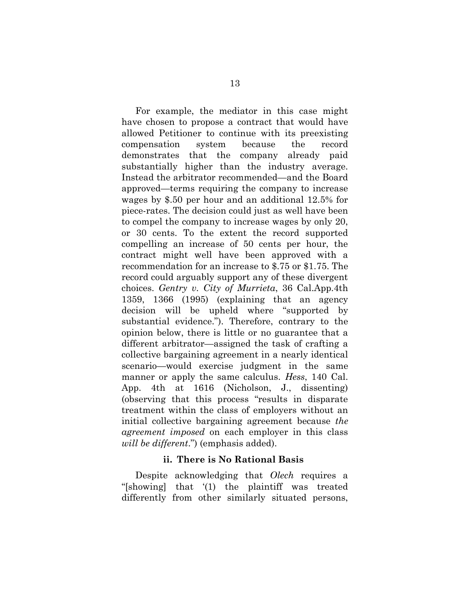For example, the mediator in this case might have chosen to propose a contract that would have allowed Petitioner to continue with its preexisting compensation system because the record demonstrates that the company already paid substantially higher than the industry average. Instead the arbitrator recommended—and the Board approved—terms requiring the company to increase wages by \$.50 per hour and an additional 12.5% for piece-rates. The decision could just as well have been to compel the company to increase wages by only 20, or 30 cents. To the extent the record supported compelling an increase of 50 cents per hour, the contract might well have been approved with a recommendation for an increase to \$.75 or \$1.75. The record could arguably support any of these divergent choices. *Gentry v. City of Murrieta*, 36 Cal.App.4th 1359, 1366 (1995) (explaining that an agency decision will be upheld where "supported by substantial evidence."). Therefore, contrary to the opinion below, there is little or no guarantee that a different arbitrator—assigned the task of crafting a collective bargaining agreement in a nearly identical scenario—would exercise judgment in the same manner or apply the same calculus. *Hess*, 140 Cal. App. 4th at 1616 (Nicholson, J., dissenting) (observing that this process "results in disparate treatment within the class of employers without an initial collective bargaining agreement because *the agreement imposed* on each employer in this class *will be different*.") (emphasis added).

#### **ii. There is No Rational Basis**

Despite acknowledging that *Olech* requires a "[showing] that '(1) the plaintiff was treated differently from other similarly situated persons,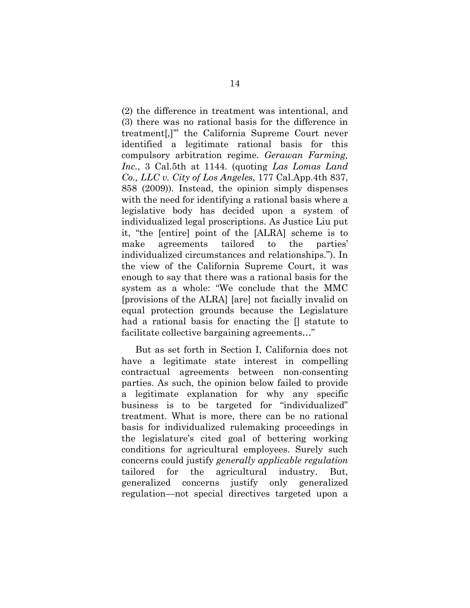(2) the difference in treatment was intentional, and (3) there was no rational basis for the difference in treatment[,]'" the California Supreme Court never identified a legitimate rational basis for this compulsory arbitration regime. *Gerawan Farming, Inc.*, 3 Cal.5th at 1144. (quoting *Las Lomas Land Co., LLC v. City of Los Angeles*, 177 Cal.App.4th 837, 858 (2009)). Instead, the opinion simply dispenses with the need for identifying a rational basis where a legislative body has decided upon a system of individualized legal proscriptions. As Justice Liu put it, "the [entire] point of the [ALRA] scheme is to make agreements tailored to the parties' individualized circumstances and relationships."). In the view of the California Supreme Court, it was enough to say that there was a rational basis for the system as a whole: "We conclude that the MMC [provisions of the ALRA] [are] not facially invalid on equal protection grounds because the Legislature had a rational basis for enacting the  $\parallel$  statute to facilitate collective bargaining agreements…"

But as set forth in Section I, California does not have a legitimate state interest in compelling contractual agreements between non-consenting parties. As such, the opinion below failed to provide a legitimate explanation for why any specific business is to be targeted for "individualized" treatment. What is more, there can be no rational basis for individualized rulemaking proceedings in the legislature's cited goal of bettering working conditions for agricultural employees. Surely such concerns could justify *generally applicable regulation* tailored for the agricultural industry. But, generalized concerns justify only generalized regulation—not special directives targeted upon a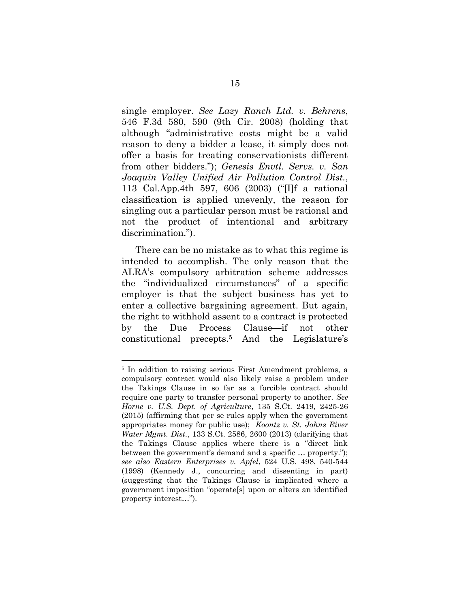single employer. *See Lazy Ranch Ltd. v. Behrens*, 546 F.3d 580, 590 (9th Cir. 2008) (holding that although "administrative costs might be a valid reason to deny a bidder a lease, it simply does not offer a basis for treating conservationists different from other bidders."); *Genesis Envtl. Servs. v. San Joaquin Valley Unified Air Pollution Control Dist.*, 113 Cal.App.4th 597, 606 (2003) ("[I]f a rational classification is applied unevenly, the reason for singling out a particular person must be rational and not the product of intentional and arbitrary discrimination.").

There can be no mistake as to what this regime is intended to accomplish. The only reason that the ALRA's compulsory arbitration scheme addresses the "individualized circumstances" of a specific employer is that the subject business has yet to enter a collective bargaining agreement. But again, the right to withhold assent to a contract is protected by the Due Process Clause—if not other constitutional precepts.5 And the Legislature's

 $\overline{a}$ 

<sup>&</sup>lt;sup>5</sup> In addition to raising serious First Amendment problems, a compulsory contract would also likely raise a problem under the Takings Clause in so far as a forcible contract should require one party to transfer personal property to another. *See Horne v. U.S. Dept. of Agriculture*, 135 S.Ct. 2419, 2425-26 (2015) (affirming that per se rules apply when the government appropriates money for public use); *Koontz v. St. Johns River Water Mgmt. Dist.*, 133 S.Ct. 2586, 2600 (2013) (clarifying that the Takings Clause applies where there is a "direct link between the government's demand and a specific … property."); *see also Eastern Enterprises v. Apfel*, 524 U.S. 498, 540-544 (1998) (Kennedy J., concurring and dissenting in part) (suggesting that the Takings Clause is implicated where a government imposition "operate[s] upon or alters an identified property interest…").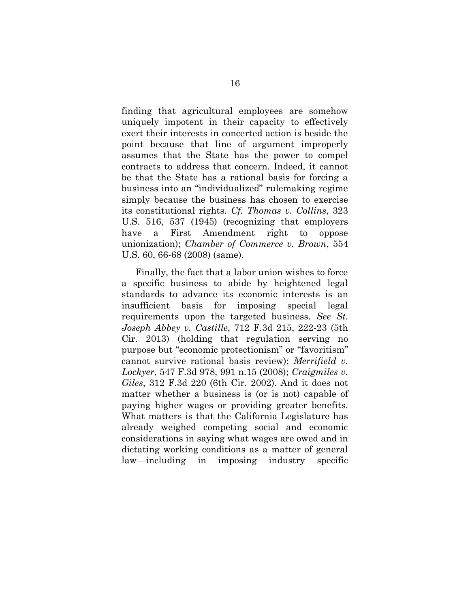finding that agricultural employees are somehow uniquely impotent in their capacity to effectively exert their interests in concerted action is beside the point because that line of argument improperly assumes that the State has the power to compel contracts to address that concern. Indeed, it cannot be that the State has a rational basis for forcing a business into an "individualized" rulemaking regime simply because the business has chosen to exercise its constitutional rights. *Cf. Thomas v. Collins*, 323 U.S. 516, 537 (1945) (recognizing that employers have a First Amendment right to oppose unionization); *Chamber of Commerce v. Brown*, 554 U.S. 60, 66-68 (2008) (same).

Finally, the fact that a labor union wishes to force a specific business to abide by heightened legal standards to advance its economic interests is an insufficient basis for imposing special legal requirements upon the targeted business. *See St. Joseph Abbey v. Castille*, 712 F.3d 215, 222-23 (5th Cir. 2013) (holding that regulation serving no purpose but "economic protectionism" or "favoritism" cannot survive rational basis review); *Merrifield v. Lockyer*, 547 F.3d 978, 991 n.15 (2008); *Craigmiles v. Giles*, 312 F.3d 220 (6th Cir. 2002). And it does not matter whether a business is (or is not) capable of paying higher wages or providing greater benefits. What matters is that the California Legislature has already weighed competing social and economic considerations in saying what wages are owed and in dictating working conditions as a matter of general law—including in imposing industry specific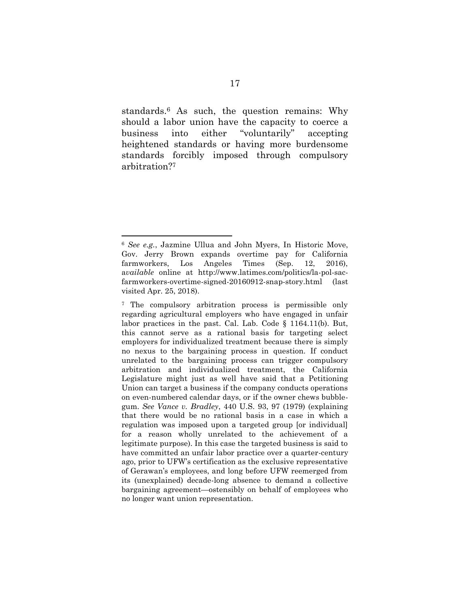standards.6 As such, the question remains: Why should a labor union have the capacity to coerce a business into either "voluntarily" accepting heightened standards or having more burdensome standards forcibly imposed through compulsory arbitration?7

 $\ddot{\phantom{a}}$ 

<sup>6</sup> *See e.g.*, Jazmine Ullua and John Myers, In Historic Move, Gov. Jerry Brown expands overtime pay for California farmworkers, Los Angeles Times (Sep. 12, 2016), a*vailable* online at http://www.latimes.com/politics/la-pol-sacfarmworkers-overtime-signed-20160912-snap-story.html (last visited Apr. 25, 2018).

<sup>7</sup> The compulsory arbitration process is permissible only regarding agricultural employers who have engaged in unfair labor practices in the past. Cal. Lab. Code § 1164.11(b). But, this cannot serve as a rational basis for targeting select employers for individualized treatment because there is simply no nexus to the bargaining process in question. If conduct unrelated to the bargaining process can trigger compulsory arbitration and individualized treatment, the California Legislature might just as well have said that a Petitioning Union can target a business if the company conducts operations on even-numbered calendar days, or if the owner chews bubblegum. *See Vance v. Bradley*, 440 U.S. 93, 97 (1979) (explaining that there would be no rational basis in a case in which a regulation was imposed upon a targeted group [or individual] for a reason wholly unrelated to the achievement of a legitimate purpose). In this case the targeted business is said to have committed an unfair labor practice over a quarter-century ago, prior to UFW's certification as the exclusive representative of Gerawan's employees, and long before UFW reemerged from its (unexplained) decade-long absence to demand a collective bargaining agreement—ostensibly on behalf of employees who no longer want union representation.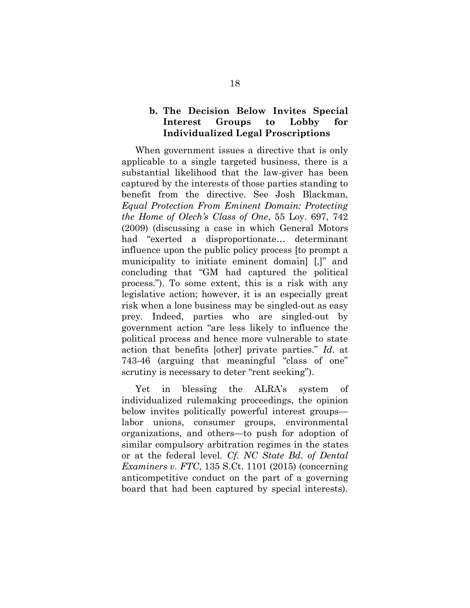#### **b. The Decision Below Invites Special Interest Groups to Lobby for Individualized Legal Proscriptions**

When government issues a directive that is only applicable to a single targeted business, there is a substantial likelihood that the law-giver has been captured by the interests of those parties standing to benefit from the directive. See Josh Blackman, *Equal Protection From Eminent Domain: Protecting the Home of Olech's Class of One*, 55 Loy. 697, 742 (2009) (discussing a case in which General Motors had "exerted a disproportionate… determinant influence upon the public policy process [to prompt a municipality to initiate eminent domain] [,]" and concluding that "GM had captured the political process."). To some extent, this is a risk with any legislative action; however, it is an especially great risk when a lone business may be singled-out as easy prey. Indeed, parties who are singled-out by government action "are less likely to influence the political process and hence more vulnerable to state action that benefits [other] private parties." *Id*. at 743-46 (arguing that meaningful "class of one" scrutiny is necessary to deter "rent seeking").

Yet in blessing the ALRA's system of individualized rulemaking proceedings, the opinion below invites politically powerful interest groups labor unions, consumer groups, environmental organizations, and others—to push for adoption of similar compulsory arbitration regimes in the states or at the federal level. *Cf. NC State Bd. of Dental Examiners v. FTC*, 135 S.Ct. 1101 (2015) (concerning anticompetitive conduct on the part of a governing board that had been captured by special interests).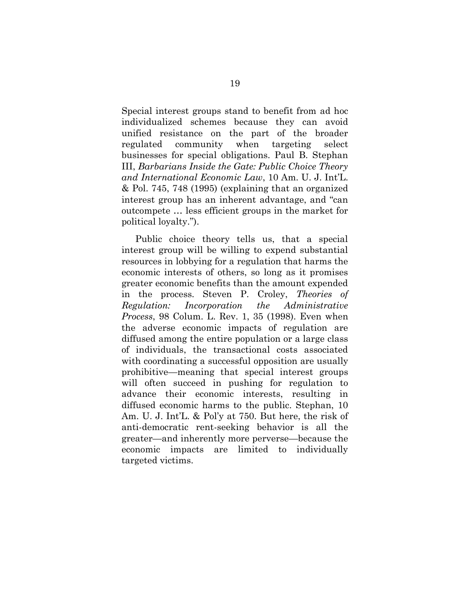Special interest groups stand to benefit from ad hoc individualized schemes because they can avoid unified resistance on the part of the broader regulated community when targeting select businesses for special obligations. Paul B. Stephan III, *Barbarians Inside the Gate: Public Choice Theory and International Economic Law*, 10 Am. U. J. Int'L. & Pol. 745, 748 (1995) (explaining that an organized interest group has an inherent advantage, and "can outcompete … less efficient groups in the market for political loyalty.").

Public choice theory tells us, that a special interest group will be willing to expend substantial resources in lobbying for a regulation that harms the economic interests of others, so long as it promises greater economic benefits than the amount expended in the process. Steven P. Croley, *Theories of Regulation: Incorporation the Administrative Process*, 98 Colum. L. Rev. 1, 35 (1998). Even when the adverse economic impacts of regulation are diffused among the entire population or a large class of individuals, the transactional costs associated with coordinating a successful opposition are usually prohibitive—meaning that special interest groups will often succeed in pushing for regulation to advance their economic interests, resulting in diffused economic harms to the public. Stephan, 10 Am. U. J. Int'L. & Pol'y at 750. But here, the risk of anti-democratic rent-seeking behavior is all the greater—and inherently more perverse—because the economic impacts are limited to individually targeted victims.